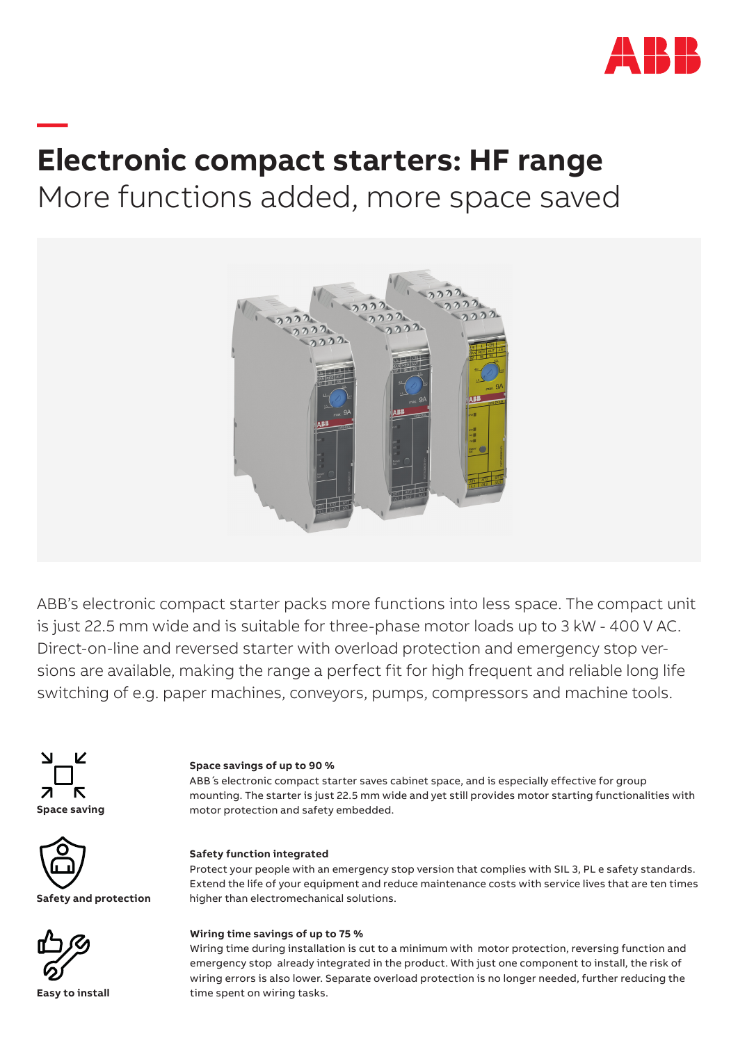

# **Electronic compact starters: HF range** More functions added, more space saved



ABB's electronic compact starter packs more functions into less space. The compact unit is just 22.5 mm wide and is suitable for three-phase motor loads up to 3 kW - 400 V AC. Direct-on-line and reversed starter with overload protection and emergency stop versions are available, making the range a perfect fit for high frequent and reliable long life switching of e.g. paper machines, conveyors, pumps, compressors and machine tools.



**—**

### **Space savings of up to 90 %**

ABB ́s electronic compact starter saves cabinet space, and is especially effective for group mounting. The starter is just 22.5 mm wide and yet still provides motor starting functionalities with motor protection and safety embedded.



**Safety and protection**



**Easy to install**

### **Safety function integrated**

Protect your people with an emergency stop version that complies with SIL 3, PL e safety standards. Extend the life of your equipment and reduce maintenance costs with service lives that are ten times higher than electromechanical solutions.

### **Wiring time savings of up to 75 %**

Wiring time during installation is cut to a minimum with motor protection, reversing function and emergency stop already integrated in the product. With just one component to install, the risk of wiring errors is also lower. Separate overload protection is no longer needed, further reducing the time spent on wiring tasks.